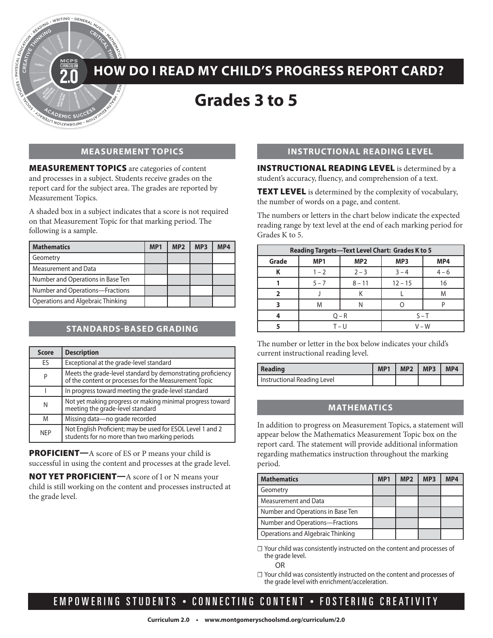# **HOW DO I READ MY CHILD'S PROGRESS REPORT CARD?**

## **Grades 3 to 5**

#### **MEASUREMENT TOPICS**

MEASUREMENT TOPICS are categories of content and processes in a subject. Students receive grades on the report card for the subject area. The grades are reported by Measurement Topics.

ING . WRITING . GENERAL

MARORMIC SUC

A shaded box in a subject indicates that a score is not required on that Measurement Topic for that marking period. The following is a sample.

| <b>Mathematics</b>                | MP <sub>1</sub> | MP <sub>2</sub> | MP <sub>3</sub> | MP4 |
|-----------------------------------|-----------------|-----------------|-----------------|-----|
| Geometry                          |                 |                 |                 |     |
| Measurement and Data              |                 |                 |                 |     |
| Number and Operations in Base Ten |                 |                 |                 |     |
| Number and Operations-Fractions   |                 |                 |                 |     |
| Operations and Algebraic Thinking |                 |                 |                 |     |

#### **STANDARDS-BASED GRADING**

| <b>Score</b> | <b>Description</b>                                                                                                   |
|--------------|----------------------------------------------------------------------------------------------------------------------|
| ES           | Exceptional at the grade-level standard                                                                              |
| P            | Meets the grade-level standard by demonstrating proficiency<br>of the content or processes for the Measurement Topic |
|              | In progress toward meeting the grade-level standard                                                                  |
| N            | Not yet making progress or making minimal progress toward<br>meeting the grade-level standard                        |
| M            | Missing data-no grade recorded                                                                                       |
| <b>NEP</b>   | Not English Proficient; may be used for ESOL Level 1 and 2<br>students for no more than two marking periods          |

PROFICIENT—A score of ES or P means your child is successful in using the content and processes at the grade level.

NOT YET PROFICIENT—A score of I or N means your child is still working on the content and processes instructed at the grade level.

#### **INSTRUCTIONAL READING LEVEL**

INSTRUCTIONAL READING LEVEL is determined by a student's accuracy, fluency, and comprehension of a text.

TEXT LEVEL is determined by the complexity of vocabulary, the number of words on a page, and content.

The numbers or letters in the chart below indicate the expected reading range by text level at the end of each marking period for Grades K to 5.

| <b>Reading Targets-Text Level Chart: Grades K to 5</b> |                    |                 |                        |         |  |
|--------------------------------------------------------|--------------------|-----------------|------------------------|---------|--|
| Grade                                                  | MP <sub>1</sub>    | MP <sub>2</sub> | MP <sub>3</sub><br>MP4 |         |  |
|                                                        | $1 - 2$            | $2 - 3$         | $3 - 4$                | $4 - 6$ |  |
|                                                        | $5 - 7$            | $8 - 11$        | $12 - 15$<br>16        |         |  |
|                                                        |                    |                 | M                      |         |  |
|                                                        | M                  |                 |                        |         |  |
|                                                        | $O - R$            |                 | $S-T$                  |         |  |
|                                                        | $V - W$<br>T – I I |                 |                        |         |  |

The number or letter in the box below indicates your child's current instructional reading level.

| <b>Reading</b>              | MP <sub>1</sub> | $\vert$ MP2 $\vert$ MP3 $\vert$ MP4 |  |
|-----------------------------|-----------------|-------------------------------------|--|
| Instructional Reading Level |                 |                                     |  |

#### **MATHEMATICS**

In addition to progress on Measurement Topics, a statement will appear below the Mathematics Measurement Topic box on the report card. The statement will provide additional information regarding mathematics instruction throughout the marking period.

| <b>Mathematics</b>                | MP <sub>1</sub> | MP <sub>2</sub> | MP <sub>3</sub> | MP4 |
|-----------------------------------|-----------------|-----------------|-----------------|-----|
| Geometry                          |                 |                 |                 |     |
| Measurement and Data              |                 |                 |                 |     |
| Number and Operations in Base Ten |                 |                 |                 |     |
| Number and Operations—Fractions   |                 |                 |                 |     |
| Operations and Algebraic Thinking |                 |                 |                 |     |

☐ Your child was consistently instructed on the content and processes of the grade level.

OR

☐ Your child was consistently instructed on the content and processes of the grade level with enrichment/acceleration.

### EMPOWERING STUDENTS • CONNECTING CONTENT • FOSTERING CREATIVITY